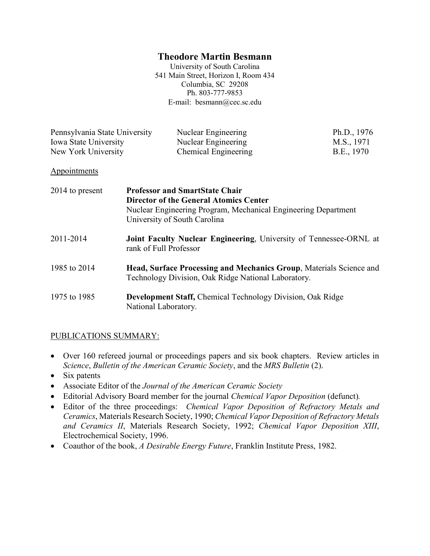### **Theodore Martin Besmann**

University of South Carolina 541 Main Street, Horizon I, Room 434 Columbia, SC 29208 Ph. 803-777-9853 E-mail: besmann@cec.sc.edu

| Pennsylvania State University | Nuclear Engineering  | Ph.D., 1976 |
|-------------------------------|----------------------|-------------|
| Iowa State University         | Nuclear Engineering  | M.S., 1971  |
| New York University           | Chemical Engineering | B.E., 1970  |

#### **Appointments**

| 2014 to present | <b>Professor and SmartState Chair</b><br><b>Director of the General Atomics Center</b><br>Nuclear Engineering Program, Mechanical Engineering Department<br>University of South Carolina |
|-----------------|------------------------------------------------------------------------------------------------------------------------------------------------------------------------------------------|
| 2011-2014       | <b>Joint Faculty Nuclear Engineering, University of Tennessee-ORNL at</b><br>rank of Full Professor                                                                                      |
| 1985 to 2014    | <b>Head, Surface Processing and Mechanics Group, Materials Science and</b><br>Technology Division, Oak Ridge National Laboratory.                                                        |
| 1975 to 1985    | <b>Development Staff, Chemical Technology Division, Oak Ridge</b><br>National Laboratory.                                                                                                |

#### PUBLICATIONS SUMMARY:

- Over 160 refereed journal or proceedings papers and six book chapters. Review articles in *Science*, *Bulletin of the American Ceramic Society*, and the *MRS Bulletin* (2).
- Six patents
- Associate Editor of the *Journal of the American Ceramic Society*
- Editorial Advisory Board member for the journal *Chemical Vapor Deposition* (defunct)*.*
- Editor of the three proceedings: *Chemical Vapor Deposition of Refractory Metals and Ceramics*, Materials Research Society, 1990; *Chemical Vapor Deposition of Refractory Metals and Ceramics II*, Materials Research Society, 1992; *Chemical Vapor Deposition XIII*, Electrochemical Society, 1996.
- Coauthor of the book, *A Desirable Energy Future*, Franklin Institute Press, 1982.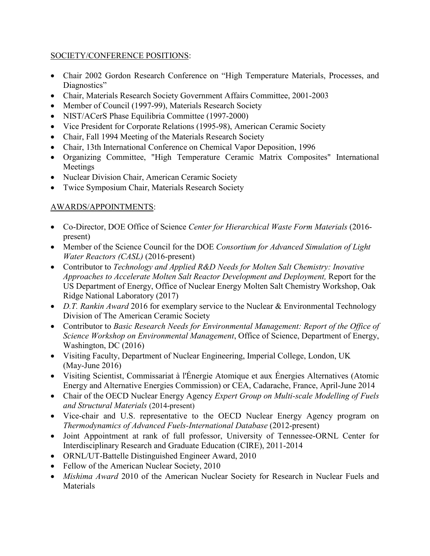#### SOCIETY/CONFERENCE POSITIONS:

- Chair 2002 Gordon Research Conference on "High Temperature Materials, Processes, and Diagnostics"
- Chair, Materials Research Society Government Affairs Committee, 2001-2003
- Member of Council (1997-99), Materials Research Society
- NIST/ACerS Phase Equilibria Committee (1997-2000)
- Vice President for Corporate Relations (1995-98), American Ceramic Society
- Chair, Fall 1994 Meeting of the Materials Research Society
- Chair, 13th International Conference on Chemical Vapor Deposition, 1996
- Organizing Committee, "High Temperature Ceramic Matrix Composites" International Meetings
- Nuclear Division Chair, American Ceramic Society
- Twice Symposium Chair, Materials Research Society

# AWARDS/APPOINTMENTS:

- Co-Director, DOE Office of Science *Center for Hierarchical Waste Form Materials* (2016 present)
- Member of the Science Council for the DOE *Consortium for Advanced Simulation of Light Water Reactors (CASL)* (2016-present)
- Contributor to *Technology and Applied R&D Needs for Molten Salt Chemistry: Inovative Approaches to Accelerate Molten Salt Reactor Development and Deployment,* Report for the US Department of Energy, Office of Nuclear Energy Molten Salt Chemistry Workshop, Oak Ridge National Laboratory (2017)
- *D.T. Rankin Award* 2016 for exemplary service to the Nuclear & Environmental Technology Division of The American Ceramic Society
- Contributor to *Basic Research Needs for Environmental Management: Report of the Office of Science Workshop on Environmental Management*, Office of Science, Department of Energy, Washington, DC (2016)
- Visiting Faculty, Department of Nuclear Engineering, Imperial College, London, UK (May-June 2016)
- Visiting Scientist, Commissariat à l'Énergie Atomique et aux Énergies Alternatives (Atomic Energy and Alternative Energies Commission) or CEA, Cadarache, France, April-June 2014
- Chair of the OECD Nuclear Energy Agency *Expert Group on Multi-scale Modelling of Fuels and Structural Materials* (2014-present)
- Vice-chair and U.S. representative to the OECD Nuclear Energy Agency program on *Thermodynamics of Advanced Fuels-International Database* (2012-present)
- Joint Appointment at rank of full professor, University of Tennessee-ORNL Center for Interdisciplinary Research and Graduate Education (CIRE), 2011-2014
- ORNL/UT-Battelle Distinguished Engineer Award, 2010
- Fellow of the American Nuclear Society, 2010
- *Mishima Award* 2010 of the American Nuclear Society for Research in Nuclear Fuels and **Materials**